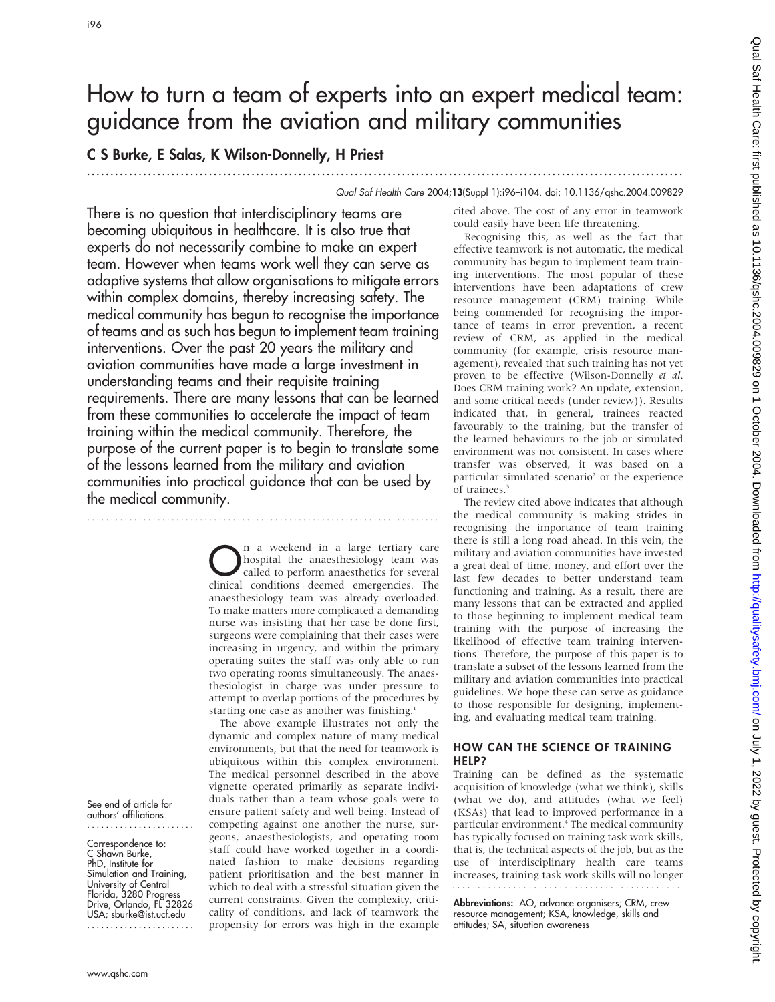## i96

# How to turn a team of experts into an expert medical team: guidance from the aviation and military communities

## C S Burke, E Salas, K Wilson-Donnelly, H Priest ...............................................................................................................................

### Qual Saf Health Care 2004;13(Suppl 1):i96–i104. doi: 10.1136/qshc.2004.009829

There is no question that interdisciplinary teams are becoming ubiquitous in healthcare. It is also true that experts do not necessarily combine to make an expert team. However when teams work well they can serve as adaptive systems that allow organisations to mitigate errors within complex domains, thereby increasing safety. The medical community has begun to recognise the importance of teams and as such has begun to implement team training interventions. Over the past 20 years the military and aviation communities have made a large investment in understanding teams and their requisite training requirements. There are many lessons that can be learned from these communities to accelerate the impact of team training within the medical community. Therefore, the purpose of the current paper is to begin to translate some of the lessons learned from the military and aviation communities into practical guidance that can be used by the medical community.

> **On** a weekend in a large tertiary care<br>called to perform anaesthetics for several<br>clinical conditions deemed emergencies. The hospital the anaesthesiology team was clinical conditions deemed emergencies. The anaesthesiology team was already overloaded. To make matters more complicated a demanding nurse was insisting that her case be done first, surgeons were complaining that their cases were increasing in urgency, and within the primary operating suites the staff was only able to run two operating rooms simultaneously. The anaesthesiologist in charge was under pressure to attempt to overlap portions of the procedures by starting one case as another was finishing.<sup>1</sup>

...........................................................................

The above example illustrates not only the dynamic and complex nature of many medical environments, but that the need for teamwork is ubiquitous within this complex environment. The medical personnel described in the above vignette operated primarily as separate individuals rather than a team whose goals were to ensure patient safety and well being. Instead of competing against one another the nurse, surgeons, anaesthesiologists, and operating room staff could have worked together in a coordinated fashion to make decisions regarding patient prioritisation and the best manner in which to deal with a stressful situation given the current constraints. Given the complexity, criticality of conditions, and lack of teamwork the propensity for errors was high in the example cited above. The cost of any error in teamwork could easily have been life threatening.

Recognising this, as well as the fact that effective teamwork is not automatic, the medical community has begun to implement team training interventions. The most popular of these interventions have been adaptations of crew resource management (CRM) training. While being commended for recognising the importance of teams in error prevention, a recent review of CRM, as applied in the medical community (for example, crisis resource management), revealed that such training has not yet proven to be effective (Wilson-Donnelly et al. Does CRM training work? An update, extension, and some critical needs (under review)). Results indicated that, in general, trainees reacted favourably to the training, but the transfer of the learned behaviours to the job or simulated environment was not consistent. In cases where transfer was observed, it was based on a particular simulated scenario<sup>2</sup> or the experience of trainees.<sup>3</sup>

The review cited above indicates that although the medical community is making strides in recognising the importance of team training there is still a long road ahead. In this vein, the military and aviation communities have invested a great deal of time, money, and effort over the last few decades to better understand team functioning and training. As a result, there are many lessons that can be extracted and applied to those beginning to implement medical team training with the purpose of increasing the likelihood of effective team training interventions. Therefore, the purpose of this paper is to translate a subset of the lessons learned from the military and aviation communities into practical guidelines. We hope these can serve as guidance to those responsible for designing, implementing, and evaluating medical team training.

## HOW CAN THE SCIENCE OF TRAINING HELP?

Training can be defined as the systematic acquisition of knowledge (what we think), skills (what we do), and attitudes (what we feel) (KSAs) that lead to improved performance in a particular environment.<sup>4</sup> The medical community has typically focused on training task work skills, that is, the technical aspects of the job, but as the use of interdisciplinary health care teams increases, training task work skills will no longer 

Abbreviations: AO, advance organisers; CRM, crew resource management; KSA, knowledge, skills and attitudes; SA, situation awareness

See end of article for authors' affiliations

Correspondence to: C Shawn Burke, PhD, Institute for Simulation and Training, University of Central Florida, 3280 Progress Drive, Orlando, FL 32826 USA; sburke@ist.ucf.edu .......................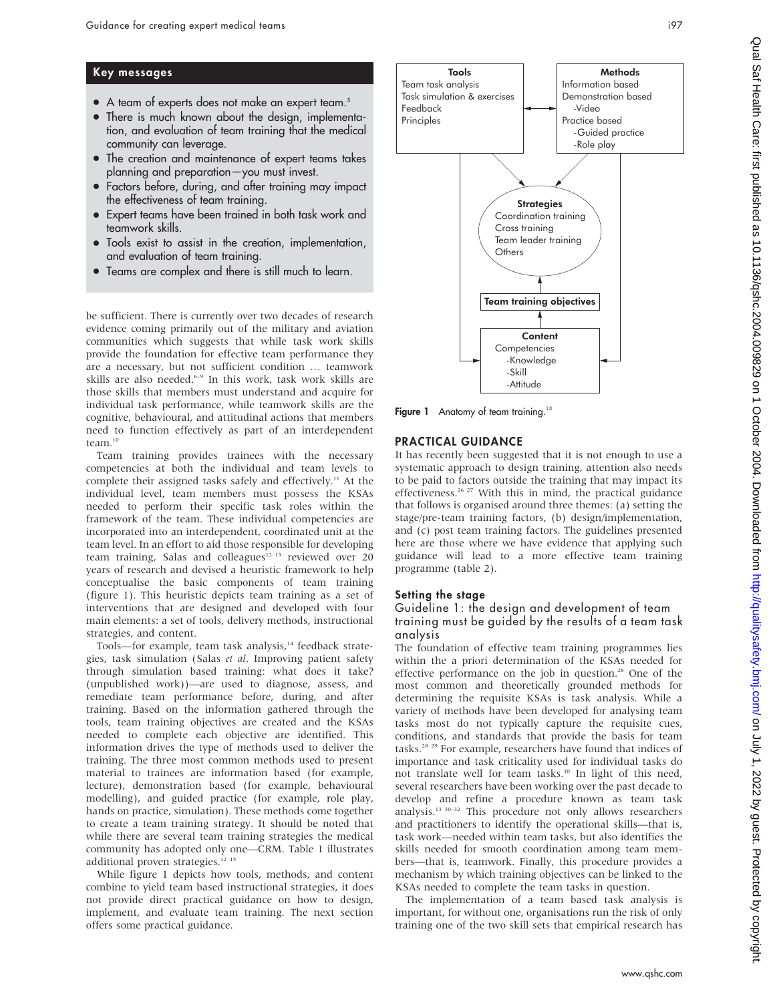## Key messages

- $\bullet$  A team of experts does not make an expert team.<sup>5</sup>
- There is much known about the design, implementation, and evaluation of team training that the medical community can leverage.
- The creation and maintenance of expert teams takes planning and preparation—you must invest.
- Factors before, during, and after training may impact the effectiveness of team training.
- Expert teams have been trained in both task work and teamwork skills.
- $\bullet$  Tools exist to assist in the creation, implementation, and evaluation of team training.
- N Teams are complex and there is still much to learn.

be sufficient. There is currently over two decades of research evidence coming primarily out of the military and aviation communities which suggests that while task work skills provide the foundation for effective team performance they are a necessary, but not sufficient condition … teamwork skills are also needed.<sup>6-9</sup> In this work, task work skills are those skills that members must understand and acquire for individual task performance, while teamwork skills are the cognitive, behavioural, and attitudinal actions that members need to function effectively as part of an interdependent team<sup>10</sup>

Team training provides trainees with the necessary competencies at both the individual and team levels to complete their assigned tasks safely and effectively.<sup>11</sup> At the individual level, team members must possess the KSAs needed to perform their specific task roles within the framework of the team. These individual competencies are incorporated into an interdependent, coordinated unit at the team level. In an effort to aid those responsible for developing team training, Salas and colleagues<sup>12 13</sup> reviewed over 20 years of research and devised a heuristic framework to help conceptualise the basic components of team training (figure 1). This heuristic depicts team training as a set of interventions that are designed and developed with four main elements: a set of tools, delivery methods, instructional strategies, and content.

Tools—for example, team task analysis,<sup>14</sup> feedback strategies, task simulation (Salas et al. Improving patient safety through simulation based training: what does it take? (unpublished work))—are used to diagnose, assess, and remediate team performance before, during, and after training. Based on the information gathered through the tools, team training objectives are created and the KSAs needed to complete each objective are identified. This information drives the type of methods used to deliver the training. The three most common methods used to present material to trainees are information based (for example, lecture), demonstration based (for example, behavioural modelling), and guided practice (for example, role play, hands on practice, simulation). These methods come together to create a team training strategy. It should be noted that while there are several team training strategies the medical community has adopted only one—CRM. Table 1 illustrates additional proven strategies.<sup>12</sup> <sup>15</sup>

While figure 1 depicts how tools, methods, and content combine to yield team based instructional strategies, it does not provide direct practical guidance on how to design, implement, and evaluate team training. The next section offers some practical guidance.



Figure 1 Anatomy of team training.<sup>13</sup>

## PRACTICAL GUIDANCE

It has recently been suggested that it is not enough to use a systematic approach to design training, attention also needs to be paid to factors outside the training that may impact its effectiveness.<sup>26</sup> <sup>27</sup> With this in mind, the practical guidance that follows is organised around three themes: (a) setting the stage/pre-team training factors, (b) design/implementation, and (c) post team training factors. The guidelines presented here are those where we have evidence that applying such guidance will lead to a more effective team training programme (table 2).

#### Setting the stage

## Guideline 1: the design and development of team training must be guided by the results of a team task analysis

The foundation of effective team training programmes lies within the a priori determination of the KSAs needed for effective performance on the job in question.<sup>28</sup> One of the most common and theoretically grounded methods for determining the requisite KSAs is task analysis. While a variety of methods have been developed for analysing team tasks most do not typically capture the requisite cues, conditions, and standards that provide the basis for team tasks.<sup>28 29</sup> For example, researchers have found that indices of importance and task criticality used for individual tasks do not translate well for team tasks.<sup>30</sup> In light of this need, several researchers have been working over the past decade to develop and refine a procedure known as team task analysis.<sup>13 30–32</sup> This procedure not only allows researchers and practitioners to identify the operational skills—that is, task work—needed within team tasks, but also identifies the skills needed for smooth coordination among team members—that is, teamwork. Finally, this procedure provides a mechanism by which training objectives can be linked to the KSAs needed to complete the team tasks in question.

The implementation of a team based task analysis is important, for without one, organisations run the risk of only training one of the two skill sets that empirical research has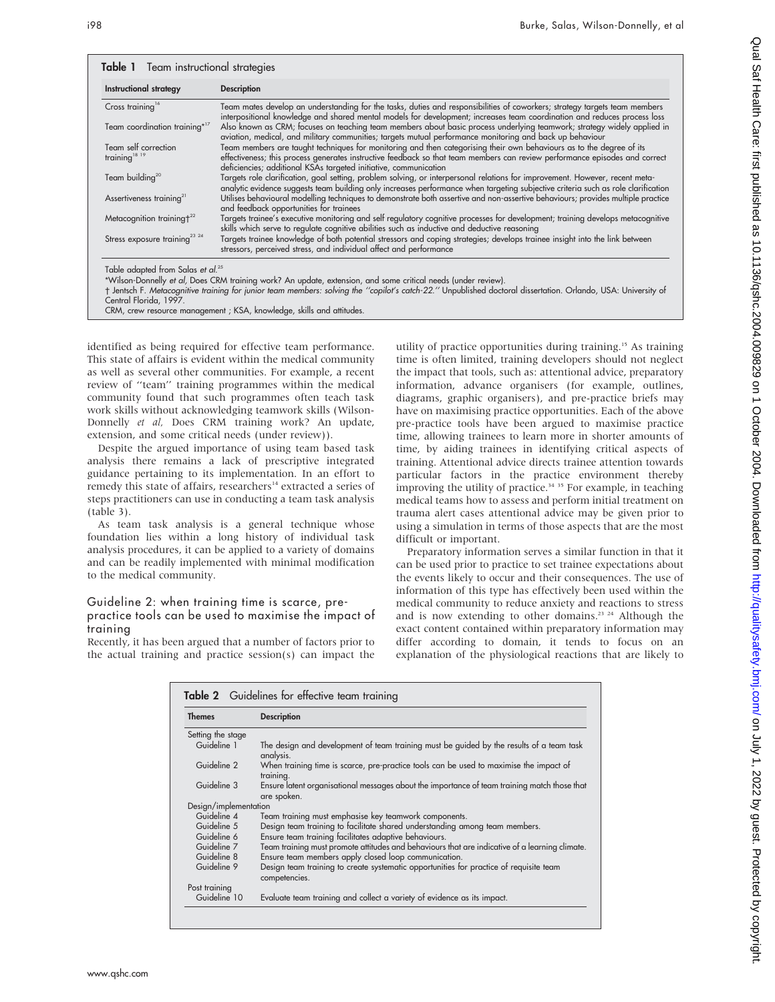| Cross training <sup>16</sup><br>Team mates develop an understanding for the tasks, duties and responsibilities of coworkers; strategy targets team members<br>interpositional knowledge and shared mental models for development; increases team coordination and reduces process loss<br>Also known as CRM; focuses on teaching team members about basic process underlying teamwork; strategy widely applied in<br>Team coordination training* <sup>17</sup><br>aviation, medical, and military communities; targets mutual performance monitoring and back up behaviour<br>Team members are taught techniques for monitoring and then categorising their own behaviours as to the degree of its<br>Team self correction<br>training <sup>18 19</sup><br>effectiveness; this process generates instructive feedback so that team members can review performance episodes and correct<br>deficiencies; additional KSAs targeted initiative, communication<br>Team building <sup>20</sup><br>Targets role clarification, goal setting, problem solving, or interpersonal relations for improvement. However, recent meta-<br>analytic evidence suggests team building only increases performance when targeting subjective criteria such as role clarification |
|----------------------------------------------------------------------------------------------------------------------------------------------------------------------------------------------------------------------------------------------------------------------------------------------------------------------------------------------------------------------------------------------------------------------------------------------------------------------------------------------------------------------------------------------------------------------------------------------------------------------------------------------------------------------------------------------------------------------------------------------------------------------------------------------------------------------------------------------------------------------------------------------------------------------------------------------------------------------------------------------------------------------------------------------------------------------------------------------------------------------------------------------------------------------------------------------------------------------------------------------------------------|
|                                                                                                                                                                                                                                                                                                                                                                                                                                                                                                                                                                                                                                                                                                                                                                                                                                                                                                                                                                                                                                                                                                                                                                                                                                                                |
|                                                                                                                                                                                                                                                                                                                                                                                                                                                                                                                                                                                                                                                                                                                                                                                                                                                                                                                                                                                                                                                                                                                                                                                                                                                                |
|                                                                                                                                                                                                                                                                                                                                                                                                                                                                                                                                                                                                                                                                                                                                                                                                                                                                                                                                                                                                                                                                                                                                                                                                                                                                |
|                                                                                                                                                                                                                                                                                                                                                                                                                                                                                                                                                                                                                                                                                                                                                                                                                                                                                                                                                                                                                                                                                                                                                                                                                                                                |
| Utilises behavioural modelling techniques to demonstrate both assertive and non-assertive behaviours; provides multiple practice<br>Assertiveness training <sup>21</sup><br>and feedback opportunities for trainees                                                                                                                                                                                                                                                                                                                                                                                                                                                                                                                                                                                                                                                                                                                                                                                                                                                                                                                                                                                                                                            |
| Metacognition training $t^{22}$<br>Targets trainee's executive monitoring and self regulatory cognitive processes for development; training develops metacognitive<br>skills which serve to regulate cognitive abilities such as inductive and deductive reasoning                                                                                                                                                                                                                                                                                                                                                                                                                                                                                                                                                                                                                                                                                                                                                                                                                                                                                                                                                                                             |
| Stress exposure training <sup>23</sup> 24<br>Targets trainee knowledge of both potential stressors and coping strategies; develops trainee insight into the link between<br>stressors, perceived stress, and individual affect and performance                                                                                                                                                                                                                                                                                                                                                                                                                                                                                                                                                                                                                                                                                                                                                                                                                                                                                                                                                                                                                 |

CRM, crew resource management ; KSA, knowledge, skills and attitudes.

identified as being required for effective team performance. This state of affairs is evident within the medical community as well as several other communities. For example, a recent review of ''team'' training programmes within the medical community found that such programmes often teach task work skills without acknowledging teamwork skills (Wilson-Donnelly et al, Does CRM training work? An update, extension, and some critical needs (under review)).

Despite the argued importance of using team based task analysis there remains a lack of prescriptive integrated guidance pertaining to its implementation. In an effort to remedy this state of affairs, researchers<sup>14</sup> extracted a series of steps practitioners can use in conducting a team task analysis (table 3).

As team task analysis is a general technique whose foundation lies within a long history of individual task analysis procedures, it can be applied to a variety of domains and can be readily implemented with minimal modification to the medical community.

#### Guideline 2: when training time is scarce, prepractice tools can be used to maximise the impact of training

Recently, it has been argued that a number of factors prior to the actual training and practice session(s) can impact the utility of practice opportunities during training.15 As training time is often limited, training developers should not neglect the impact that tools, such as: attentional advice, preparatory information, advance organisers (for example, outlines, diagrams, graphic organisers), and pre-practice briefs may have on maximising practice opportunities. Each of the above pre-practice tools have been argued to maximise practice time, allowing trainees to learn more in shorter amounts of time, by aiding trainees in identifying critical aspects of training. Attentional advice directs trainee attention towards particular factors in the practice environment thereby improving the utility of practice.<sup>34 35</sup> For example, in teaching medical teams how to assess and perform initial treatment on trauma alert cases attentional advice may be given prior to using a simulation in terms of those aspects that are the most difficult or important.

Preparatory information serves a similar function in that it can be used prior to practice to set trainee expectations about the events likely to occur and their consequences. The use of information of this type has effectively been used within the medical community to reduce anxiety and reactions to stress and is now extending to other domains.<sup>23 24</sup> Although the exact content contained within preparatory information may differ according to domain, it tends to focus on an explanation of the physiological reactions that are likely to

| <b>Themes</b>         | <b>Description</b>                                                                                          |
|-----------------------|-------------------------------------------------------------------------------------------------------------|
| Setting the stage     |                                                                                                             |
| Guideline 1           | The design and development of team training must be guided by the results of a team task<br>analysis.       |
| Guideline 2           | When training time is scarce, pre-practice tools can be used to maximise the impact of<br>training.         |
| Guideline 3           | Ensure latent organisational messages about the importance of team training match those that<br>are spoken. |
| Design/implementation |                                                                                                             |
| Guideline 4           | Team training must emphasise key teamwork components.                                                       |
| Guideline 5           | Design team training to facilitate shared understanding among team members.                                 |
| Guideline 6           | Ensure team training facilitates adaptive behaviours.                                                       |
| Guideline 7           | Team training must promote attitudes and behaviours that are indicative of a learning climate.              |
| Guideline 8           | Ensure team members apply closed loop communication.                                                        |
| Guideline 9           | Design team training to create systematic opportunities for practice of requisite team<br>competencies.     |
| Post training         |                                                                                                             |
| Guideline 10          | Evaluate team training and collect a variety of evidence as its impact.                                     |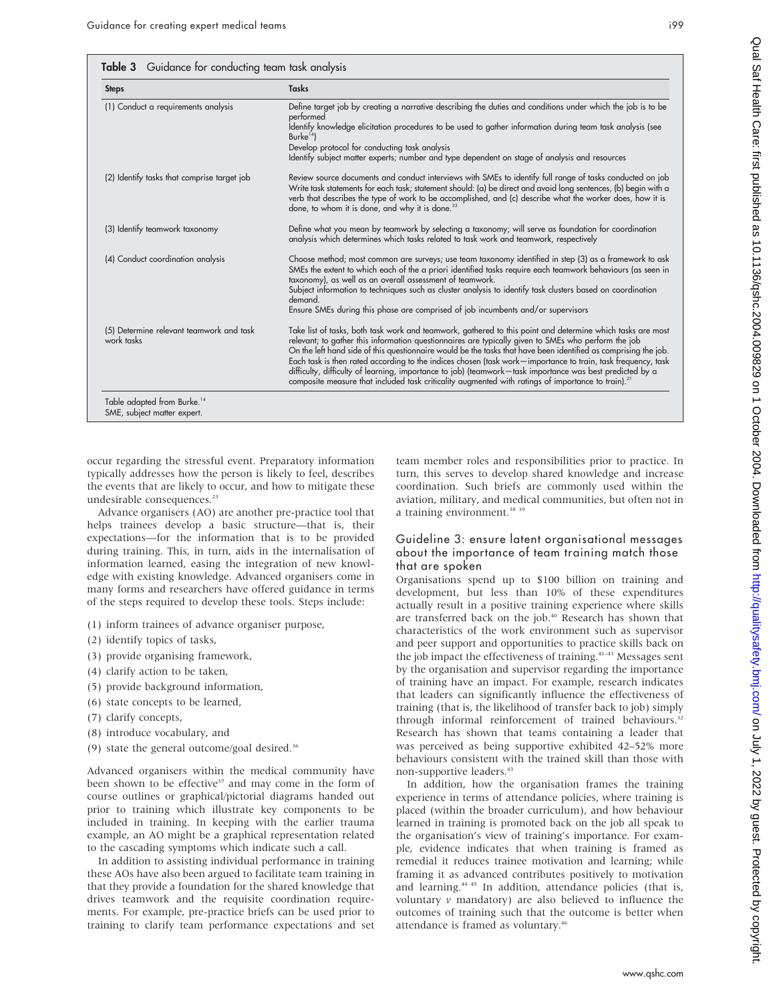| <b>Steps</b>                                           | <b>Tasks</b>                                                                                                                                                                                                                                                                                                                                                                                                                                                                                                                                                                                                                                                                       |  |
|--------------------------------------------------------|------------------------------------------------------------------------------------------------------------------------------------------------------------------------------------------------------------------------------------------------------------------------------------------------------------------------------------------------------------------------------------------------------------------------------------------------------------------------------------------------------------------------------------------------------------------------------------------------------------------------------------------------------------------------------------|--|
| (1) Conduct a requirements analysis                    | Define target job by creating a narrative describing the duties and conditions under which the job is to be<br>performed<br>Identify knowledge elicitation procedures to be used to gather information during team task analysis (see<br>Burke <sup>14</sup><br>Develop protocol for conducting task analysis<br>Identify subject matter experts; number and type dependent on stage of analysis and resources                                                                                                                                                                                                                                                                     |  |
| (2) Identify tasks that comprise target job            | Review source documents and conduct interviews with SMEs to identify full range of tasks conducted on job<br>Write task statements for each task; statement should: (a) be direct and avoid long sentences, (b) begin with a<br>verb that describes the type of work to be accomplished, and (c) describe what the worker does, how it is<br>done, to whom it is done, and why it is done. <sup>33</sup>                                                                                                                                                                                                                                                                           |  |
| (3) Identify teamwork taxonomy                         | Define what you mean by teamwork by selecting a taxonomy; will serve as foundation for coordination<br>analysis which determines which tasks related to task work and teamwork, respectively                                                                                                                                                                                                                                                                                                                                                                                                                                                                                       |  |
| (4) Conduct coordination analysis                      | Choose method; most common are surveys; use team taxonomy identified in step (3) as a framework to ask<br>SMEs the extent to which each of the a priori identified tasks require each teamwork behaviours (as seen in<br>taxonomy), as well as an overall assessment of teamwork.<br>Subject information to techniques such as cluster analysis to identify task clusters based on coordination<br>demand.<br>Ensure SMEs during this phase are comprised of job incumbents and/or supervisors                                                                                                                                                                                     |  |
| (5) Determine relevant teamwork and task<br>work tasks | Take list of tasks, both task work and teamwork, gathered to this point and determine which tasks are most<br>relevant; to gather this information questionnaires are typically given to SMEs who perform the job<br>On the left hand side of this questionnaire would be the tasks that have been identified as comprising the job.<br>Each task is then rated according to the indices chosen (task work-importance to train, task frequency, task<br>difficulty, difficulty of learning, importance to job) (teamwork-task importance was best predicted by a<br>composite measure that included task criticality augmented with ratings of importance to train). <sup>21</sup> |  |

occur regarding the stressful event. Preparatory information typically addresses how the person is likely to feel, describes the events that are likely to occur, and how to mitigate these undesirable consequences.<sup>23</sup>

Advance organisers (AO) are another pre-practice tool that helps trainees develop a basic structure—that is, their expectations—for the information that is to be provided during training. This, in turn, aids in the internalisation of information learned, easing the integration of new knowledge with existing knowledge. Advanced organisers come in many forms and researchers have offered guidance in terms of the steps required to develop these tools. Steps include:

- (1) inform trainees of advance organiser purpose,
- (2) identify topics of tasks,
- (3) provide organising framework,
- (4) clarify action to be taken,
- (5) provide background information,
- (6) state concepts to be learned,
- (7) clarify concepts,
- (8) introduce vocabulary, and
- (9) state the general outcome/goal desired.36

Advanced organisers within the medical community have been shown to be effective<sup>37</sup> and may come in the form of course outlines or graphical/pictorial diagrams handed out prior to training which illustrate key components to be included in training. In keeping with the earlier trauma example, an AO might be a graphical representation related to the cascading symptoms which indicate such a call.

In addition to assisting individual performance in training these AOs have also been argued to facilitate team training in that they provide a foundation for the shared knowledge that drives teamwork and the requisite coordination requirements. For example, pre-practice briefs can be used prior to training to clarify team performance expectations and set

team member roles and responsibilities prior to practice. In turn, this serves to develop shared knowledge and increase coordination. Such briefs are commonly used within the aviation, military, and medical communities, but often not in a training environment.<sup>38</sup> <sup>39</sup>

### Guideline 3: ensure latent organisational messages about the importance of team training match those that are spoken

Organisations spend up to \$100 billion on training and development, but less than 10% of these expenditures actually result in a positive training experience where skills are transferred back on the job.<sup>40</sup> Research has shown that characteristics of the work environment such as supervisor and peer support and opportunities to practice skills back on the job impact the effectiveness of training.<sup>41-43</sup> Messages sent by the organisation and supervisor regarding the importance of training have an impact. For example, research indicates that leaders can significantly influence the effectiveness of training (that is, the likelihood of transfer back to job) simply through informal reinforcement of trained behaviours.<sup>32</sup> Research has shown that teams containing a leader that was perceived as being supportive exhibited 42–52% more behaviours consistent with the trained skill than those with non-supportive leaders.<sup>43</sup>

In addition, how the organisation frames the training experience in terms of attendance policies, where training is placed (within the broader curriculum), and how behaviour learned in training is promoted back on the job all speak to the organisation's view of training's importance. For example, evidence indicates that when training is framed as remedial it reduces trainee motivation and learning; while framing it as advanced contributes positively to motivation and learning.<sup>44 45</sup> In addition, attendance policies (that is, voluntary  $\nu$  mandatory) are also believed to influence the outcomes of training such that the outcome is better when attendance is framed as voluntary.<sup>46</sup>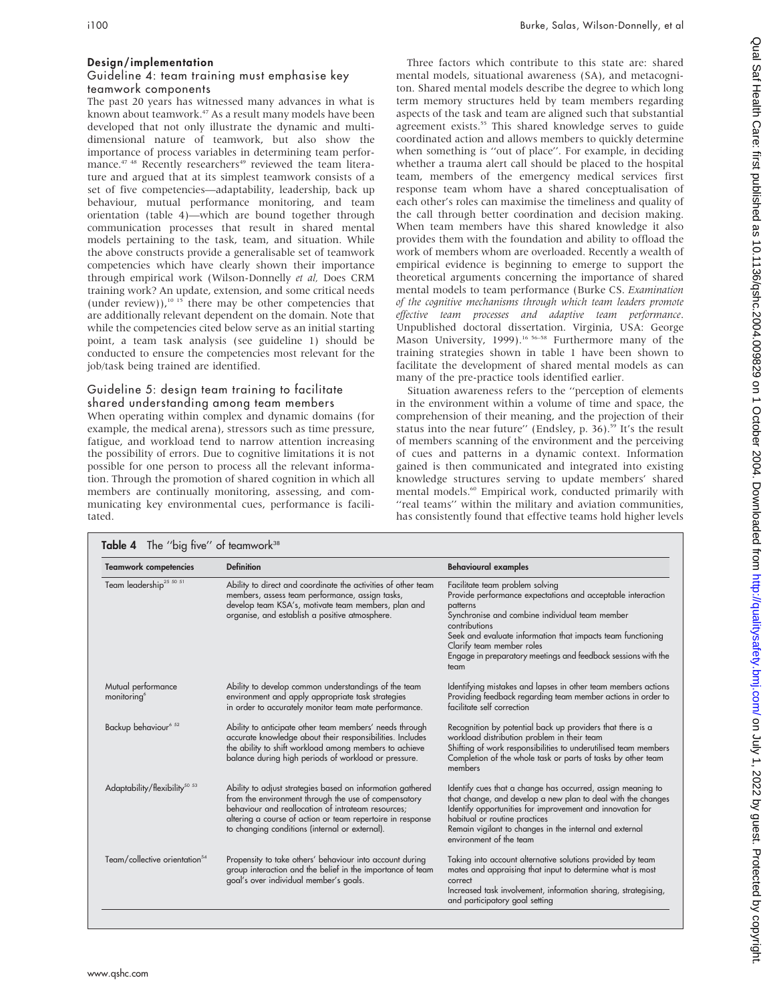## Design/implementation

## Guideline 4: team training must emphasise key teamwork components

The past 20 years has witnessed many advances in what is known about teamwork.47 As a result many models have been developed that not only illustrate the dynamic and multidimensional nature of teamwork, but also show the importance of process variables in determining team performance.<sup>47 48</sup> Recently researchers<sup>49</sup> reviewed the team literature and argued that at its simplest teamwork consists of a set of five competencies—adaptability, leadership, back up behaviour, mutual performance monitoring, and team orientation (table 4)—which are bound together through communication processes that result in shared mental models pertaining to the task, team, and situation. While the above constructs provide a generalisable set of teamwork competencies which have clearly shown their importance through empirical work (Wilson-Donnelly et al, Does CRM training work? An update, extension, and some critical needs (under review)),10 15 there may be other competencies that are additionally relevant dependent on the domain. Note that while the competencies cited below serve as an initial starting point, a team task analysis (see guideline 1) should be conducted to ensure the competencies most relevant for the job/task being trained are identified.

## Guideline 5: design team training to facilitate shared understanding among team members

When operating within complex and dynamic domains (for example, the medical arena), stressors such as time pressure, fatigue, and workload tend to narrow attention increasing the possibility of errors. Due to cognitive limitations it is not possible for one person to process all the relevant information. Through the promotion of shared cognition in which all members are continually monitoring, assessing, and communicating key environmental cues, performance is facilitated.

Three factors which contribute to this state are: shared mental models, situational awareness (SA), and metacogniton. Shared mental models describe the degree to which long term memory structures held by team members regarding aspects of the task and team are aligned such that substantial agreement exists.<sup>55</sup> This shared knowledge serves to guide coordinated action and allows members to quickly determine when something is ''out of place''. For example, in deciding whether a trauma alert call should be placed to the hospital team, members of the emergency medical services first response team whom have a shared conceptualisation of each other's roles can maximise the timeliness and quality of the call through better coordination and decision making. When team members have this shared knowledge it also provides them with the foundation and ability to offload the work of members whom are overloaded. Recently a wealth of empirical evidence is beginning to emerge to support the theoretical arguments concerning the importance of shared mental models to team performance (Burke CS. Examination of the cognitive mechanisms through which team leaders promote effective team processes and adaptive team performance. Unpublished doctoral dissertation. Virginia, USA: George Mason University, 1999).<sup>16 56–58</sup> Furthermore many of the training strategies shown in table 1 have been shown to facilitate the development of shared mental models as can many of the pre-practice tools identified earlier.

Situation awareness refers to the ''perception of elements in the environment within a volume of time and space, the comprehension of their meaning, and the projection of their status into the near future" (Endsley, p. 36).<sup>59</sup> It's the result of members scanning of the environment and the perceiving of cues and patterns in a dynamic context. Information gained is then communicated and integrated into existing knowledge structures serving to update members' shared mental models.<sup>60</sup> Empirical work, conducted primarily with "real teams" within the military and aviation communities, has consistently found that effective teams hold higher levels

| <b>Teamwork competencies</b>                  | <b>Definition</b>                                                                                                                                                                                                                                                                        | <b>Behavioural examples</b>                                                                                                                                                                                                                                                                                                                        |
|-----------------------------------------------|------------------------------------------------------------------------------------------------------------------------------------------------------------------------------------------------------------------------------------------------------------------------------------------|----------------------------------------------------------------------------------------------------------------------------------------------------------------------------------------------------------------------------------------------------------------------------------------------------------------------------------------------------|
| Team leadership <sup>25 50 51</sup>           | Ability to direct and coordinate the activities of other team<br>members, assess team performance, assign tasks,<br>develop team KSA's, motivate team members, plan and<br>organise, and establish a positive atmosphere.                                                                | Facilitate team problem solving<br>Provide performance expectations and acceptable interaction<br>patterns<br>Synchronise and combine individual team member<br>contributions<br>Seek and evaluate information that impacts team functioning<br>Clarify team member roles<br>Engage in preparatory meetings and feedback sessions with the<br>team |
| Mutual performance<br>monitoring <sup>o</sup> | Ability to develop common understandings of the team<br>environment and apply appropriate task strategies<br>in order to accurately monitor team mate performance.                                                                                                                       | Identifying mistakes and lapses in other team members actions<br>Providing feedback regarding team member actions in order to<br>facilitate self correction                                                                                                                                                                                        |
| Backup behaviour <sup>6 52</sup>              | Ability to anticipate other team members' needs through<br>accurate knowledge about their responsibilities. Includes<br>the ability to shift workload among members to achieve<br>balance during high periods of workload or pressure.                                                   | Recognition by potential back up providers that there is a<br>workload distribution problem in their team<br>Shifting of work responsibilities to underutilised team members<br>Completion of the whole task or parts of tasks by other team<br>members                                                                                            |
| Adaptability/flexibility <sup>50</sup> 53     | Ability to adjust strategies based on information gathered<br>from the environment through the use of compensatory<br>behaviour and reallocation of intrateam resources;<br>altering a course of action or team repertoire in response<br>to changing conditions (internal or external). | Identify cues that a change has occurred, assign meaning to<br>that change, and develop a new plan to deal with the changes<br>Identify opportunities for improvement and innovation for<br>habitual or routine practices<br>Remain vigilant to changes in the internal and external<br>environment of the team                                    |
| Team/collective orientation <sup>54</sup>     | Propensity to take others' behaviour into account during<br>group interaction and the belief in the importance of team<br>goal's over individual member's goals.                                                                                                                         | Taking into account alternative solutions provided by team<br>mates and appraising that input to determine what is most<br>correct<br>Increased task involvement, information sharing, strategising,<br>and participatory goal setting                                                                                                             |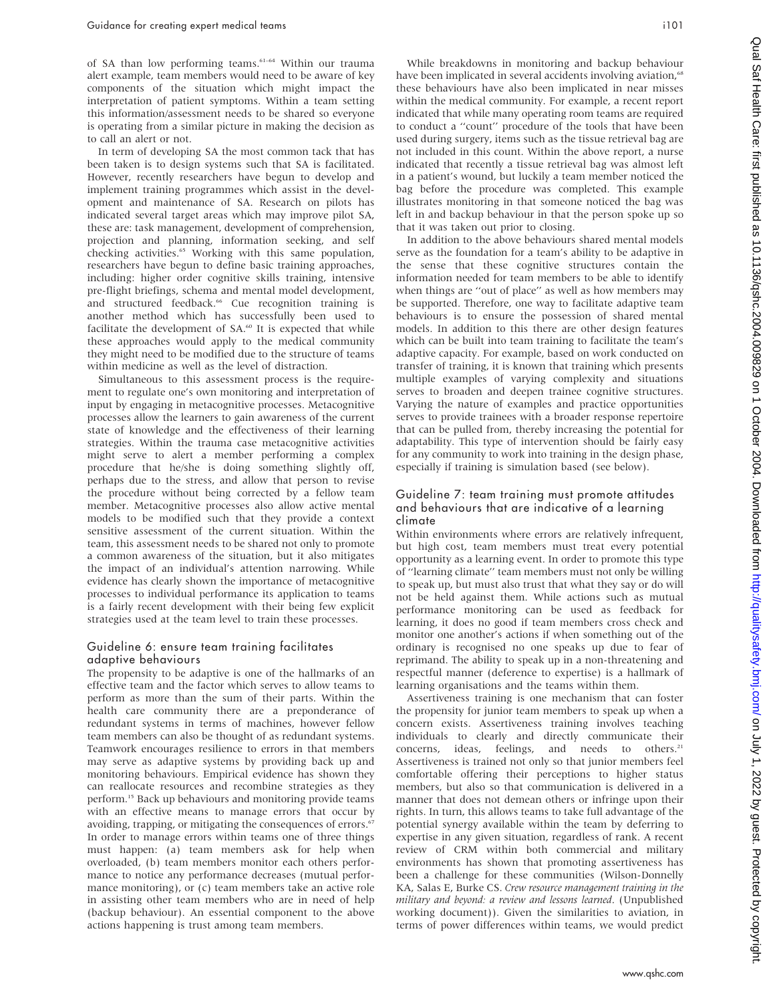of SA than low performing teams.<sup>61-64</sup> Within our trauma alert example, team members would need to be aware of key components of the situation which might impact the interpretation of patient symptoms. Within a team setting this information/assessment needs to be shared so everyone is operating from a similar picture in making the decision as to call an alert or not.

In term of developing SA the most common tack that has been taken is to design systems such that SA is facilitated. However, recently researchers have begun to develop and implement training programmes which assist in the development and maintenance of SA. Research on pilots has indicated several target areas which may improve pilot SA, these are: task management, development of comprehension, projection and planning, information seeking, and self checking activities.<sup>65</sup> Working with this same population, researchers have begun to define basic training approaches, including: higher order cognitive skills training, intensive pre-flight briefings, schema and mental model development, and structured feedback.<sup>66</sup> Cue recognition training is another method which has successfully been used to facilitate the development of SA.<sup>60</sup> It is expected that while these approaches would apply to the medical community they might need to be modified due to the structure of teams within medicine as well as the level of distraction.

Simultaneous to this assessment process is the requirement to regulate one's own monitoring and interpretation of input by engaging in metacognitive processes. Metacognitive processes allow the learners to gain awareness of the current state of knowledge and the effectiveness of their learning strategies. Within the trauma case metacognitive activities might serve to alert a member performing a complex procedure that he/she is doing something slightly off, perhaps due to the stress, and allow that person to revise the procedure without being corrected by a fellow team member. Metacognitive processes also allow active mental models to be modified such that they provide a context sensitive assessment of the current situation. Within the team, this assessment needs to be shared not only to promote a common awareness of the situation, but it also mitigates the impact of an individual's attention narrowing. While evidence has clearly shown the importance of metacognitive processes to individual performance its application to teams is a fairly recent development with their being few explicit strategies used at the team level to train these processes.

#### Guideline 6: ensure team training facilitates adaptive behaviours

The propensity to be adaptive is one of the hallmarks of an effective team and the factor which serves to allow teams to perform as more than the sum of their parts. Within the health care community there are a preponderance of redundant systems in terms of machines, however fellow team members can also be thought of as redundant systems. Teamwork encourages resilience to errors in that members may serve as adaptive systems by providing back up and monitoring behaviours. Empirical evidence has shown they can reallocate resources and recombine strategies as they perform.15 Back up behaviours and monitoring provide teams with an effective means to manage errors that occur by avoiding, trapping, or mitigating the consequences of errors.<sup>67</sup> In order to manage errors within teams one of three things must happen: (a) team members ask for help when overloaded, (b) team members monitor each others performance to notice any performance decreases (mutual performance monitoring), or (c) team members take an active role in assisting other team members who are in need of help (backup behaviour). An essential component to the above actions happening is trust among team members.

While breakdowns in monitoring and backup behaviour have been implicated in several accidents involving aviation,<sup>68</sup> these behaviours have also been implicated in near misses within the medical community. For example, a recent report indicated that while many operating room teams are required to conduct a ''count'' procedure of the tools that have been used during surgery, items such as the tissue retrieval bag are not included in this count. Within the above report, a nurse indicated that recently a tissue retrieval bag was almost left in a patient's wound, but luckily a team member noticed the bag before the procedure was completed. This example illustrates monitoring in that someone noticed the bag was left in and backup behaviour in that the person spoke up so that it was taken out prior to closing.

In addition to the above behaviours shared mental models serve as the foundation for a team's ability to be adaptive in the sense that these cognitive structures contain the information needed for team members to be able to identify when things are ''out of place'' as well as how members may be supported. Therefore, one way to facilitate adaptive team behaviours is to ensure the possession of shared mental models. In addition to this there are other design features which can be built into team training to facilitate the team's adaptive capacity. For example, based on work conducted on transfer of training, it is known that training which presents multiple examples of varying complexity and situations serves to broaden and deepen trainee cognitive structures. Varying the nature of examples and practice opportunities serves to provide trainees with a broader response repertoire that can be pulled from, thereby increasing the potential for adaptability. This type of intervention should be fairly easy for any community to work into training in the design phase, especially if training is simulation based (see below).

### Guideline 7: team training must promote attitudes and behaviours that are indicative of a learning climate

Within environments where errors are relatively infrequent, but high cost, team members must treat every potential opportunity as a learning event. In order to promote this type of ''learning climate'' team members must not only be willing to speak up, but must also trust that what they say or do will not be held against them. While actions such as mutual performance monitoring can be used as feedback for learning, it does no good if team members cross check and monitor one another's actions if when something out of the ordinary is recognised no one speaks up due to fear of reprimand. The ability to speak up in a non-threatening and respectful manner (deference to expertise) is a hallmark of learning organisations and the teams within them.

Assertiveness training is one mechanism that can foster the propensity for junior team members to speak up when a concern exists. Assertiveness training involves teaching individuals to clearly and directly communicate their concerns, ideas, feelings, and needs to others.<sup>21</sup> Assertiveness is trained not only so that junior members feel comfortable offering their perceptions to higher status members, but also so that communication is delivered in a manner that does not demean others or infringe upon their rights. In turn, this allows teams to take full advantage of the potential synergy available within the team by deferring to expertise in any given situation, regardless of rank. A recent review of CRM within both commercial and military environments has shown that promoting assertiveness has been a challenge for these communities (Wilson-Donnelly KA, Salas E, Burke CS. Crew resource management training in the military and beyond: a review and lessons learned. (Unpublished working document)). Given the similarities to aviation, in terms of power differences within teams, we would predict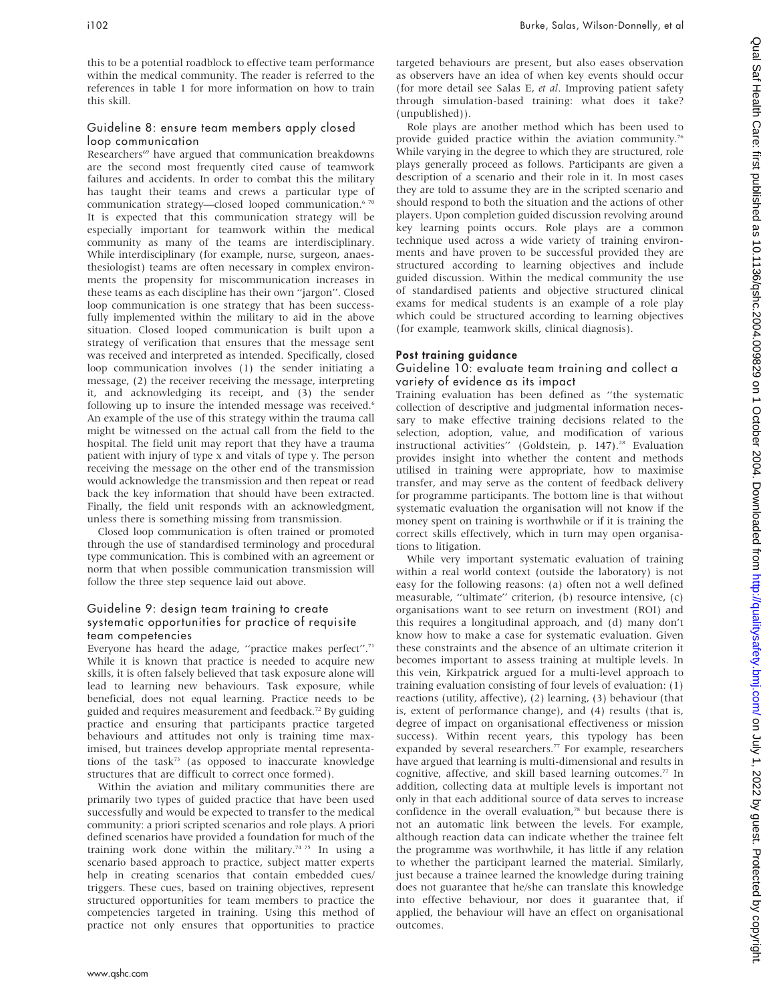this to be a potential roadblock to effective team performance within the medical community. The reader is referred to the references in table 1 for more information on how to train this skill.

## Guideline 8: ensure team members apply closed loop communication

Researchers<sup>69</sup> have argued that communication breakdowns are the second most frequently cited cause of teamwork failures and accidents. In order to combat this the military has taught their teams and crews a particular type of communication strategy—closed looped communication.<sup>6 70</sup> It is expected that this communication strategy will be especially important for teamwork within the medical community as many of the teams are interdisciplinary. While interdisciplinary (for example, nurse, surgeon, anaesthesiologist) teams are often necessary in complex environments the propensity for miscommunication increases in these teams as each discipline has their own ''jargon''. Closed loop communication is one strategy that has been successfully implemented within the military to aid in the above situation. Closed looped communication is built upon a strategy of verification that ensures that the message sent was received and interpreted as intended. Specifically, closed loop communication involves (1) the sender initiating a message, (2) the receiver receiving the message, interpreting it, and acknowledging its receipt, and (3) the sender following up to insure the intended message was received.<sup>6</sup> An example of the use of this strategy within the trauma call might be witnessed on the actual call from the field to the hospital. The field unit may report that they have a trauma patient with injury of type x and vitals of type y. The person receiving the message on the other end of the transmission would acknowledge the transmission and then repeat or read back the key information that should have been extracted. Finally, the field unit responds with an acknowledgment, unless there is something missing from transmission.

Closed loop communication is often trained or promoted through the use of standardised terminology and procedural type communication. This is combined with an agreement or norm that when possible communication transmission will follow the three step sequence laid out above.

#### Guideline 9: design team training to create systematic opportunities for practice of requisite team competencies

Everyone has heard the adage, "practice makes perfect".<sup>71</sup> While it is known that practice is needed to acquire new skills, it is often falsely believed that task exposure alone will lead to learning new behaviours. Task exposure, while beneficial, does not equal learning. Practice needs to be guided and requires measurement and feedback.<sup>72</sup> By guiding practice and ensuring that participants practice targeted behaviours and attitudes not only is training time maximised, but trainees develop appropriate mental representations of the task<sup>73</sup> (as opposed to inaccurate knowledge structures that are difficult to correct once formed).

Within the aviation and military communities there are primarily two types of guided practice that have been used successfully and would be expected to transfer to the medical community: a priori scripted scenarios and role plays. A priori defined scenarios have provided a foundation for much of the training work done within the military.<sup>74 75</sup> In using a scenario based approach to practice, subject matter experts help in creating scenarios that contain embedded cues/ triggers. These cues, based on training objectives, represent structured opportunities for team members to practice the competencies targeted in training. Using this method of practice not only ensures that opportunities to practice targeted behaviours are present, but also eases observation as observers have an idea of when key events should occur (for more detail see Salas E, et al. Improving patient safety through simulation-based training: what does it take? (unpublished)).

Role plays are another method which has been used to provide guided practice within the aviation community.<sup>76</sup> While varying in the degree to which they are structured, role plays generally proceed as follows. Participants are given a description of a scenario and their role in it. In most cases they are told to assume they are in the scripted scenario and should respond to both the situation and the actions of other players. Upon completion guided discussion revolving around key learning points occurs. Role plays are a common technique used across a wide variety of training environments and have proven to be successful provided they are structured according to learning objectives and include guided discussion. Within the medical community the use of standardised patients and objective structured clinical exams for medical students is an example of a role play which could be structured according to learning objectives (for example, teamwork skills, clinical diagnosis).

## Post training guidance

## Guideline 10: evaluate team training and collect a variety of evidence as its impact

Training evaluation has been defined as ''the systematic collection of descriptive and judgmental information necessary to make effective training decisions related to the selection, adoption, value, and modification of various instructional activities" (Goldstein, p. 147).<sup>28</sup> Evaluation provides insight into whether the content and methods utilised in training were appropriate, how to maximise transfer, and may serve as the content of feedback delivery for programme participants. The bottom line is that without systematic evaluation the organisation will not know if the money spent on training is worthwhile or if it is training the correct skills effectively, which in turn may open organisations to litigation.

While very important systematic evaluation of training within a real world context (outside the laboratory) is not easy for the following reasons: (a) often not a well defined measurable, "ultimate" criterion, (b) resource intensive, (c) organisations want to see return on investment (ROI) and this requires a longitudinal approach, and (d) many don't know how to make a case for systematic evaluation. Given these constraints and the absence of an ultimate criterion it becomes important to assess training at multiple levels. In this vein, Kirkpatrick argued for a multi-level approach to training evaluation consisting of four levels of evaluation: (1) reactions (utility, affective), (2) learning, (3) behaviour (that is, extent of performance change), and (4) results (that is, degree of impact on organisational effectiveness or mission success). Within recent years, this typology has been expanded by several researchers.<sup>77</sup> For example, researchers have argued that learning is multi-dimensional and results in cognitive, affective, and skill based learning outcomes.<sup>77</sup> In addition, collecting data at multiple levels is important not only in that each additional source of data serves to increase confidence in the overall evaluation, $78$  but because there is not an automatic link between the levels. For example, although reaction data can indicate whether the trainee felt the programme was worthwhile, it has little if any relation to whether the participant learned the material. Similarly, just because a trainee learned the knowledge during training does not guarantee that he/she can translate this knowledge into effective behaviour, nor does it guarantee that, if applied, the behaviour will have an effect on organisational outcomes.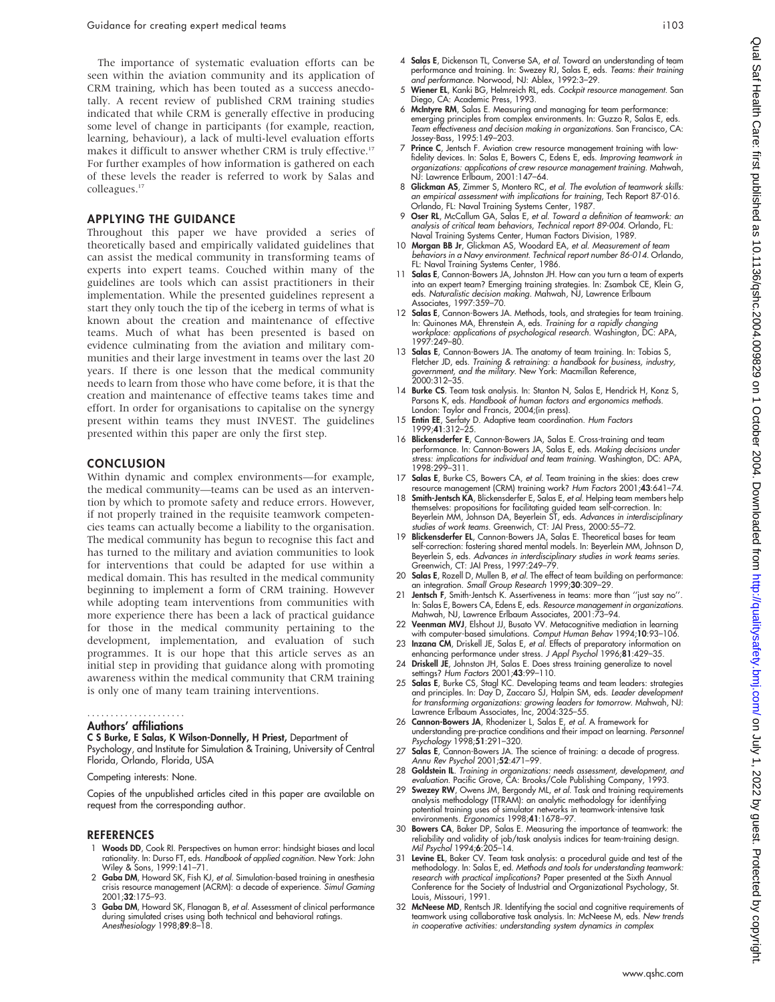The importance of systematic evaluation efforts can be seen within the aviation community and its application of CRM training, which has been touted as a success anecdotally. A recent review of published CRM training studies indicated that while CRM is generally effective in producing some level of change in participants (for example, reaction, learning, behaviour), a lack of multi-level evaluation efforts makes it difficult to answer whether CRM is truly effective.<sup>17</sup> For further examples of how information is gathered on each of these levels the reader is referred to work by Salas and colleagues.<sup>17</sup>

## APPLYING THE GUIDANCE

Throughout this paper we have provided a series of theoretically based and empirically validated guidelines that can assist the medical community in transforming teams of experts into expert teams. Couched within many of the guidelines are tools which can assist practitioners in their implementation. While the presented guidelines represent a start they only touch the tip of the iceberg in terms of what is known about the creation and maintenance of effective teams. Much of what has been presented is based on evidence culminating from the aviation and military communities and their large investment in teams over the last 20 years. If there is one lesson that the medical community needs to learn from those who have come before, it is that the creation and maintenance of effective teams takes time and effort. In order for organisations to capitalise on the synergy present within teams they must INVEST. The guidelines presented within this paper are only the first step.

#### **CONCLUSION**

Within dynamic and complex environments—for example, the medical community—teams can be used as an intervention by which to promote safety and reduce errors. However, if not properly trained in the requisite teamwork competencies teams can actually become a liability to the organisation. The medical community has begun to recognise this fact and has turned to the military and aviation communities to look for interventions that could be adapted for use within a medical domain. This has resulted in the medical community beginning to implement a form of CRM training. However while adopting team interventions from communities with more experience there has been a lack of practical guidance for those in the medical community pertaining to the development, implementation, and evaluation of such programmes. It is our hope that this article serves as an initial step in providing that guidance along with promoting awareness within the medical community that CRM training is only one of many team training interventions.

#### Authors' affiliations .....................

#### C S Burke, E Salas, K Wilson-Donnelly, H Priest, Department of

Psychology, and Institute for Simulation & Training, University of Central Florida, Orlando, Florida, USA

Competing interests: None.

Copies of the unpublished articles cited in this paper are available on request from the corresponding author.

#### **REFERENCES**

- 1 Woods DD, Cook RI. Perspectives on human error: hindsight biases and local rationality. In: Durso FT, eds. Handbook of applied cognition. New York: John Wiley & Sons, 1999:141–71.
- 2 Gaba DM, Howard SK, Fish KJ, et al. Simulation-based training in anesthesia crisis resource management (ACRM): a decade of experience. Simul Gaming 2001;32:175–93.
- 3 Gaba DM, Howard SK, Flanagan B, et al. Assessment of clinical performance during simulated crises using both technical and behavioral ratings.<br>Anesthesiology 1998;**89**:8–18.
- 4 Salas E, Dickenson TL, Converse SA, et al. Toward an understanding of team performance and training. In: Swezey RJ, Salas E, eds. Teams: their training and performance. Norwood, NJ: Ablex, 1992:3–29.
- 5 Wiener EL, Kanki BG, Helmreich RL, eds. Cockpit resource management. San Diego, CA: Academic Press, 1993.
- 6 McIntyre RM, Salas E. Measuring and managing for team performance: emerging principles from complex environments. In: Guzzo R, Salas E, eds. Team effectiveness and decision making in organizations. San Francisco, CA: Jossey-Bass, 1995:149–203.
- 7 Prince C, Jentsch F. Aviation crew resource management training with low-fidelity devices. In: Salas E, Bowers C, Edens E, eds. Improving teamwork in organizations: applications of crew resource management training. Mahwah, NJ: Lawrence Erlbaum, 2001:147–64.
- 8 Glickman AS, Zimmer S, Montero RC, et al. The evolution of teamwork skills: an empirical assessment with implications for training, Tech Report 87-016. Orlando, FL: Naval Training Systems Center, 1987.
- 9 Oser RL, McCallum GA, Salas E, et al. Toward a definition of teamwork: an analysis of critical team behaviors, Technical report 89-004. Orlando, FL: Naval Training Systems Center, Human Factors Division, 1989.
- 10 **Morgan BB Jr**, Glickman AS, Woodard EA, et al. Measurement of team behaviors in a Navy environment. Technical report number 86-014. Orlando, FL: Naval Training Systems Center, 1986.
- 11 **Salas E**, Cannon-Bowers JA, Johnston JH. How can you turn a team of experts<br>into an expert team? Emerging training strategies. In: Zsambok CE, Klein G,<br>eds. N*aturalistic decision making.* Mahwah, NJ, Lawrence Erlbaum Associates, 1997:359–70.
- 12 Salas E, Cannon-Bowers JA. Methods, tools, and strategies for team training. In: Quinones MA, Ehrenstein A, eds. Training for a rapidly changing workplace: applications of psychological research. Washington, DC: APA, 1997:249–80.
- 13 Salas E, Cannon-Bowers JA. The anatomy of team training. In: Tobias S, Fletcher JD, eds. Training & retraining: a handbook for business, industry, government, and the military. New York: Macmillan Reference, 2000:312–35.
- 14 Burke CS. Team task analysis. In: Stanton N, Salas E, Hendrick H, Konz S, Parsons K, eds. Handbook of human factors and ergonomics methods. London: Taylor and Francis, 2004;(in press).
- 15 Entin EE, Serfaty D. Adaptive team coordination. Hum Factors 1999;41:312–25.
- 16 Blickensderfer E, Cannon-Bowers JA, Salas E. Cross-training and team performance. In: Cannon-Bowers JA, Salas E, eds. Making decisions under stress: implications for individual and team training. Washington, DC: APA, 1998:299–311.
- 17 Salas E, Burke CS, Bowers CA, *et al.* Team training in the skies: does crew<br>resource management (CRM) training work? *Hum Factors* 2001;4**3**:641–74.<br>18 Smith-Jentsch KA, Blickensderfer E, Salas E, *et al.* Helping team
- themselves: propositions for facilitating guided team sell-correction. In:<br>Beyerlein MM, Johnson DA, Beyerlein ST, eds. *Advances in interdisciplinary* studies of work teams. Greenwich, CT: JAI Press, 2000:55–72.
- 19 Blickensderfer EL, Cannon-Bowers JA, Salas E. Theoretical bases for team self-correction: fostering shared mental models. In: Beyerlein MM, Johnson D, Beyerlein S, eds. Advances in interdisciplinary studies in work teams series. Greenwich, CT: JAI Press, 1997:249–79.
- 20 Salas E, Rozell D, Mullen B, et al. The effect of team building on performance: an integration. Small Group Research 1999;30:309–29.
- 21 Jentsch F, Smith-Jentsch K. Assertiveness in teams: more than ''just say no''. In: Salas E, Bowers CA, Edens E, eds. Resource management in organizations. Mahwah, NJ, Lawrence Erlbaum Associates, 2001:73–94.
- 22 Veenman MVJ, Elshout JJ, Busato VV. Metacognitive mediation in learning with computer-based simulations. Comput Human Behav 1994;10:93–106.
- 23 Inzana CM, Driskell JE, Salas E, et al. Effects of preparatory information on enhancing performance under stress. J Appl Psychol 1996;81:429–35.
- 24 Driskell JE, Johnston JH, Salas E. Does stress training generalize to novel settings? Hum Factors 2001;43:99–110.
- 25 Salas E, Burke CS, Stagl KC. Developing teams and team leaders: strategies and principles. In: Day D, Zaccaro SJ, Halpin SM, eds. Leader development for transforming organizations: growing leaders for tomorrow. Mahwah, NJ: Lawrence Erlbaum Associates, Inc, 2004:325–55.
- 26 Cannon-Bowers JA, Rhodenizer L, Salas E, et al. A framework for understanding pre-practice conditions and their impact on learning. Personnel Psychology 1998;51:291–320.
- 27 Salas E, Cannon-Bowers JA. The science of training: a decade of progress. Annu Rev Psychol 2001;52:471-99.
- 28 Goldstein IL. Training in organizations: needs assessment, development, and evaluation. Pacific Grove, CA: Brooks/Cole Publishing Company, 1993.
- 29 Swezey RW, Owens JM, Bergondy ML, et al. Task and training requirements analysis methodology (TTRAM): an analytic methodology for identifying potential training uses of simulator networks in teamwork-intensive task environments. Ergonomics 1998;41:1678–97.
- 30 Bowers CA, Baker DP, Salas E. Measuring the importance of teamwork: the reliability and validity of job/task analysis indices for team-training design. Mil Psychol 1994;6:205–14.
- 31 Levine EL, Baker CV. Team task analysis: a procedural guide and test of the methodology. In: Salas E, ed. Methods and tools for understanding teamwork: research with practical implications? Paper presented at the Sixth Annual Conference for the Society of Industrial and Organizational Psychology, St. Louis, Missouri, 1991.
- 32 McNeese MD, Rentsch JR. Identifying the social and cognitive requirements of teamwork using collaborative task analysis. In: McNeese M, eds. New trends in cooperative activities: understanding system dynamics in complex